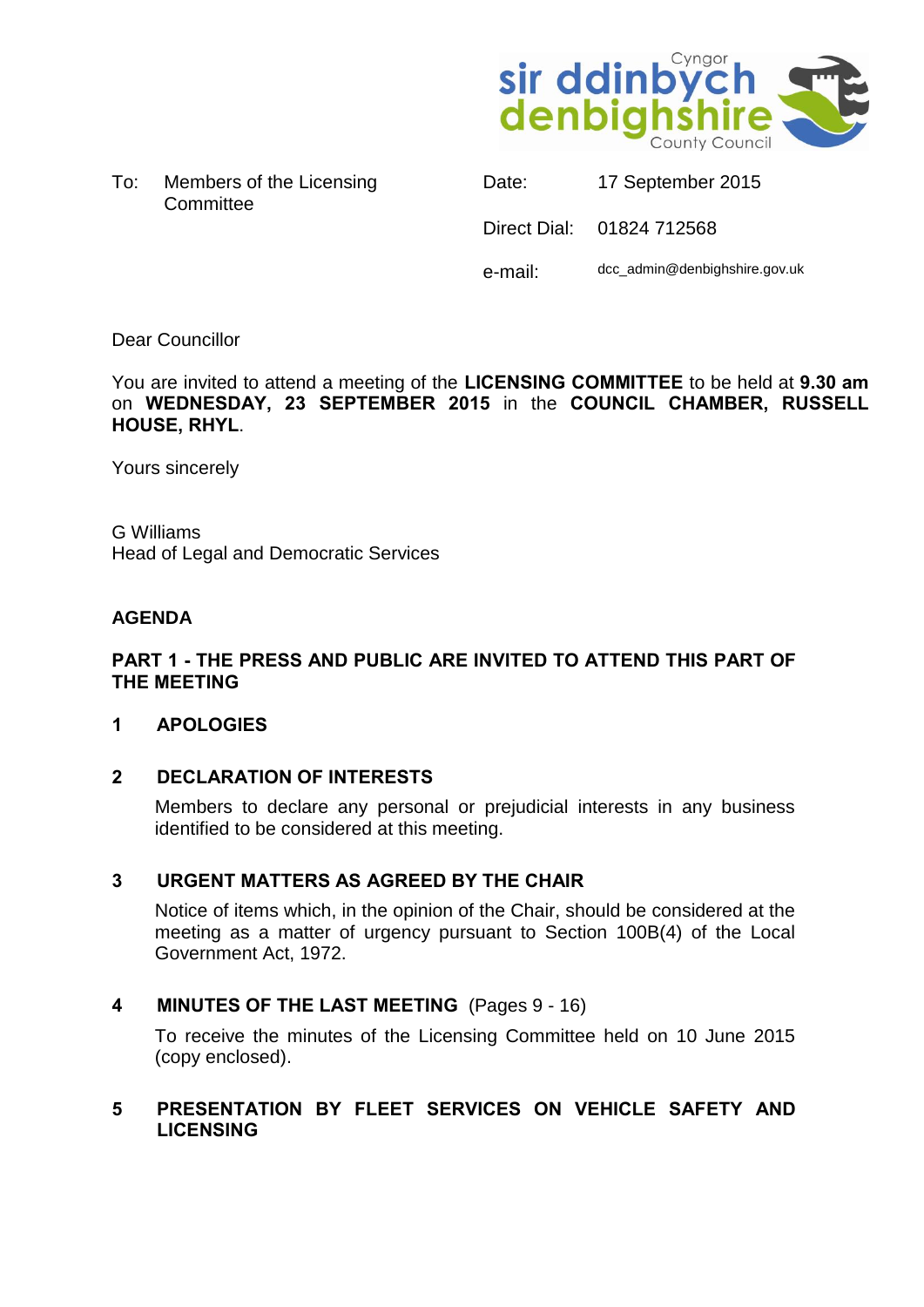

To: Members of the Licensing **Committee** 

| Date:   | 17 September 2015             |
|---------|-------------------------------|
|         | Direct Dial: 01824 712568     |
| e-mail: | dcc_admin@denbighshire.gov.uk |

# Dear Councillor

You are invited to attend a meeting of the **LICENSING COMMITTEE** to be held at **9.30 am** on **WEDNESDAY, 23 SEPTEMBER 2015** in the **COUNCIL CHAMBER, RUSSELL HOUSE, RHYL**.

Yours sincerely

G Williams Head of Legal and Democratic Services

# **AGENDA**

# **PART 1 - THE PRESS AND PUBLIC ARE INVITED TO ATTEND THIS PART OF THE MEETING**

### **1 APOLOGIES**

### **2 DECLARATION OF INTERESTS**

Members to declare any personal or prejudicial interests in any business identified to be considered at this meeting.

### **3 URGENT MATTERS AS AGREED BY THE CHAIR**

Notice of items which, in the opinion of the Chair, should be considered at the meeting as a matter of urgency pursuant to Section 100B(4) of the Local Government Act, 1972.

### **4 MINUTES OF THE LAST MEETING** (Pages 9 - 16)

To receive the minutes of the Licensing Committee held on 10 June 2015 (copy enclosed).

### **5 PRESENTATION BY FLEET SERVICES ON VEHICLE SAFETY AND LICENSING**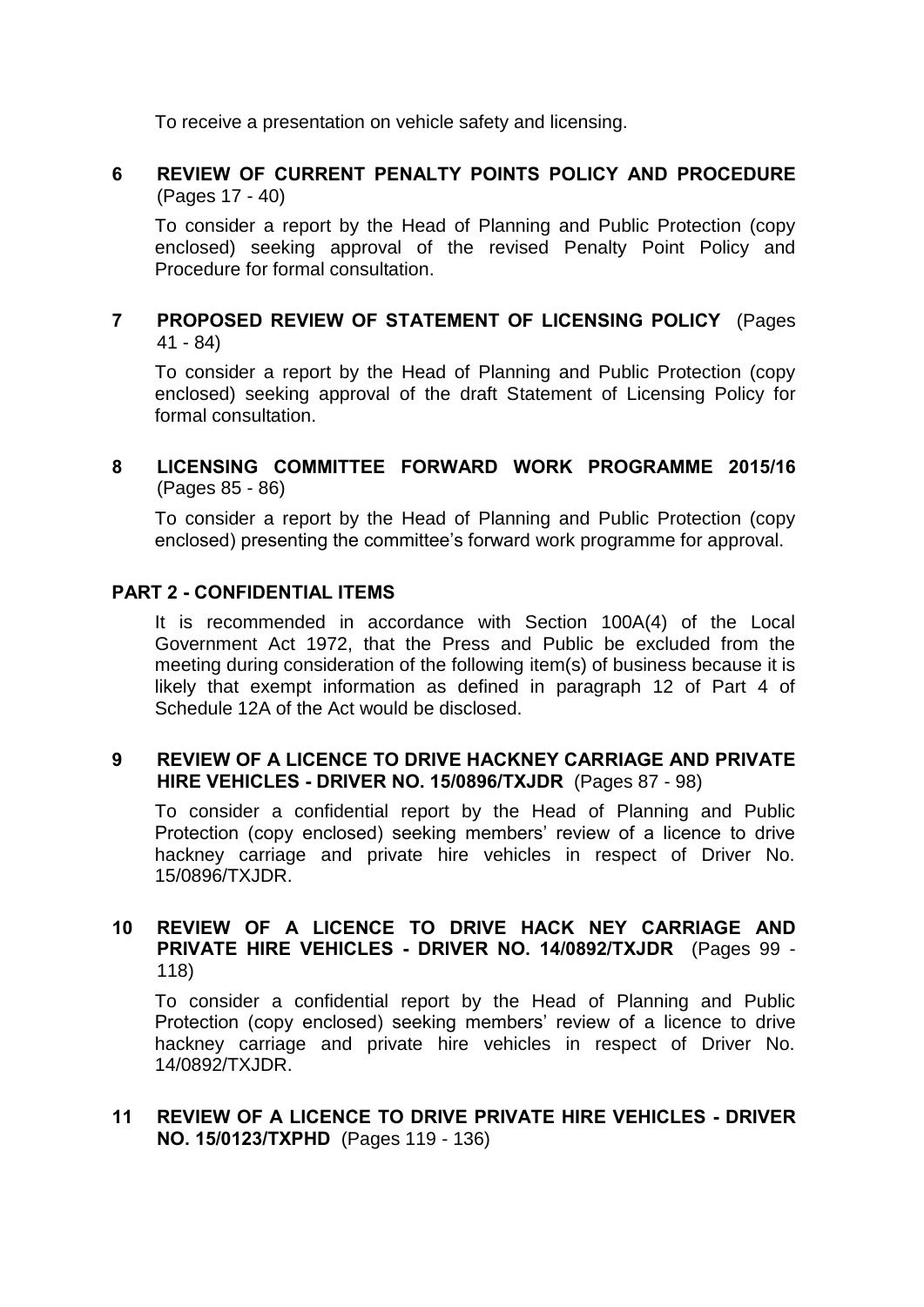To receive a presentation on vehicle safety and licensing.

# **6 REVIEW OF CURRENT PENALTY POINTS POLICY AND PROCEDURE** (Pages 17 - 40)

To consider a report by the Head of Planning and Public Protection (copy enclosed) seeking approval of the revised Penalty Point Policy and Procedure for formal consultation.

# **7 PROPOSED REVIEW OF STATEMENT OF LICENSING POLICY** (Pages 41 - 84)

To consider a report by the Head of Planning and Public Protection (copy enclosed) seeking approval of the draft Statement of Licensing Policy for formal consultation.

# **8 LICENSING COMMITTEE FORWARD WORK PROGRAMME 2015/16** (Pages 85 - 86)

To consider a report by the Head of Planning and Public Protection (copy enclosed) presenting the committee's forward work programme for approval.

# **PART 2 - CONFIDENTIAL ITEMS**

It is recommended in accordance with Section 100A(4) of the Local Government Act 1972, that the Press and Public be excluded from the meeting during consideration of the following item(s) of business because it is likely that exempt information as defined in paragraph 12 of Part 4 of Schedule 12A of the Act would be disclosed.

#### **9 REVIEW OF A LICENCE TO DRIVE HACKNEY CARRIAGE AND PRIVATE HIRE VEHICLES - DRIVER NO. 15/0896/TXJDR** (Pages 87 - 98)

To consider a confidential report by the Head of Planning and Public Protection (copy enclosed) seeking members' review of a licence to drive hackney carriage and private hire vehicles in respect of Driver No. 15/0896/TXJDR.

# **10 REVIEW OF A LICENCE TO DRIVE HACK NEY CARRIAGE AND PRIVATE HIRE VEHICLES - DRIVER NO. 14/0892/TXJDR** (Pages 99 - 118)

To consider a confidential report by the Head of Planning and Public Protection (copy enclosed) seeking members' review of a licence to drive hackney carriage and private hire vehicles in respect of Driver No. 14/0892/TXJDR.

### **11 REVIEW OF A LICENCE TO DRIVE PRIVATE HIRE VEHICLES - DRIVER NO. 15/0123/TXPHD** (Pages 119 - 136)